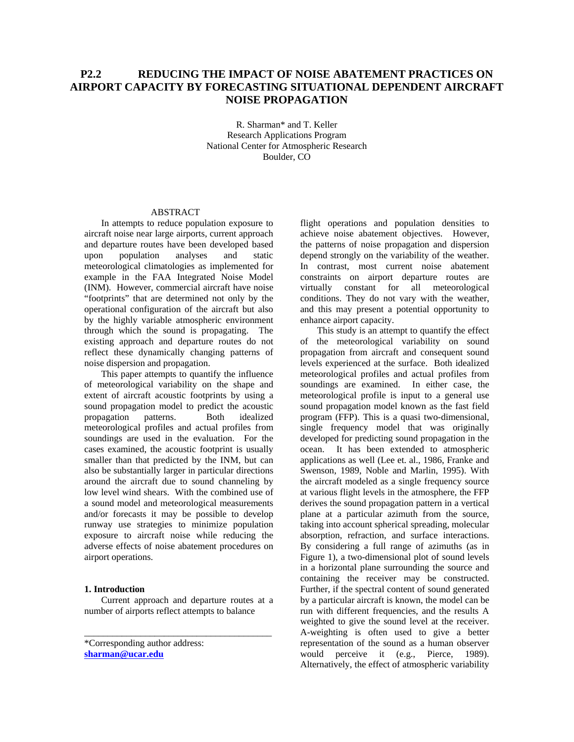# **P2.2 REDUCING THE IMPACT OF NOISE ABATEMENT PRACTICES ON AIRPORT CAPACITY BY FORECASTING SITUATIONAL DEPENDENT AIRCRAFT NOISE PROPAGATION**

R. Sharman\* and T. Keller Research Applications Program National Center for Atmospheric Research Boulder, CO

# ABSTRACT

In attempts to reduce population exposure to aircraft noise near large airports, current approach and departure routes have been developed based upon population analyses and static meteorological climatologies as implemented for example in the FAA Integrated Noise Model (INM). However, commercial aircraft have noise "footprints" that are determined not only by the operational configuration of the aircraft but also by the highly variable atmospheric environment through which the sound is propagating. The existing approach and departure routes do not reflect these dynamically changing patterns of noise dispersion and propagation.

This paper attempts to quantify the influence of meteorological variability on the shape and extent of aircraft acoustic footprints by using a sound propagation model to predict the acoustic<br>propagation patterns. Both idealized propagation meteorological profiles and actual profiles from soundings are used in the evaluation. For the cases examined, the acoustic footprint is usually smaller than that predicted by the INM, but can also be substantially larger in particular directions around the aircraft due to sound channeling by low level wind shears. With the combined use of a sound model and meteorological measurements and/or forecasts it may be possible to develop runway use strategies to minimize population exposure to aircraft noise while reducing the adverse effects of noise abatement procedures on airport operations.

#### **1. Introduction**

Current approach and departure routes at a number of airports reflect attempts to balance

\_\_\_\_\_\_\_\_\_\_\_\_\_\_\_\_\_\_\_\_\_\_\_\_\_\_\_\_\_\_\_\_\_\_\_\_\_\_\_\_

\*Corresponding author address: **[sharman@ucar.edu](mailto:sharman@ucar.edu)**

flight operations and population densities to achieve noise abatement objectives. However, the patterns of noise propagation and dispersion depend strongly on the variability of the weather. In contrast, most current noise abatement constraints on airport departure routes are virtually constant for all meteorological conditions. They do not vary with the weather, and this may present a potential opportunity to enhance airport capacity.

This study is an attempt to quantify the effect of the meteorological variability on sound propagation from aircraft and consequent sound levels experienced at the surface. Both idealized meteorological profiles and actual profiles from soundings are examined. In either case, the meteorological profile is input to a general use sound propagation model known as the fast field program (FFP). This is a quasi two-dimensional, single frequency model that was originally developed for predicting sound propagation in the ocean. It has been extended to atmospheric applications as well (Lee et. al., 1986, Franke and Swenson, 1989, Noble and Marlin, 1995). With the aircraft modeled as a single frequency source at various flight levels in the atmosphere, the FFP derives the sound propagation pattern in a vertical plane at a particular azimuth from the source, taking into account spherical spreading, molecular absorption, refraction, and surface interactions. By considering a full range of azimuths (as in Figure 1), a two-dimensional plot of sound levels in a horizontal plane surrounding the source and containing the receiver may be constructed. Further, if the spectral content of sound generated by a particular aircraft is known, the model can be run with different frequencies, and the results A weighted to give the sound level at the receiver. A-weighting is often used to give a better representation of the sound as a human observer would perceive it (e.g., Pierce, 1989). Alternatively, the effect of atmospheric variability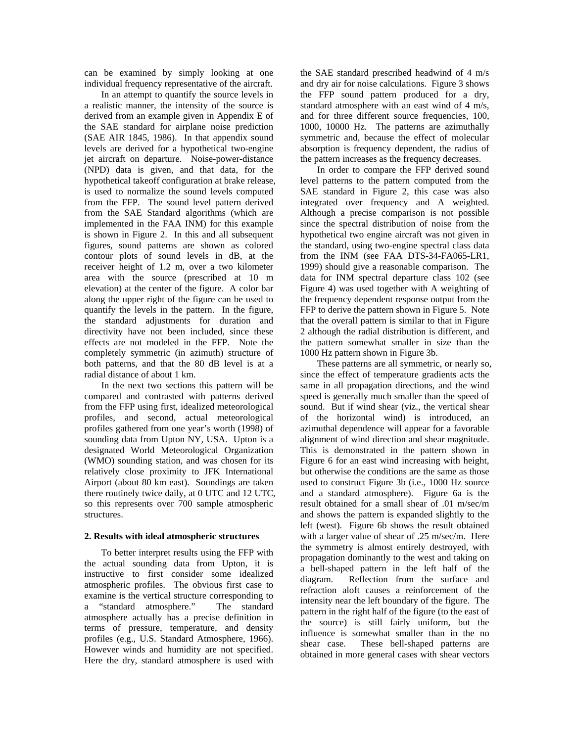can be examined by simply looking at one individual frequency representative of the aircraft.

In an attempt to quantify the source levels in a realistic manner, the intensity of the source is derived from an example given in Appendix E of the SAE standard for airplane noise prediction (SAE AIR 1845, 1986). In that appendix sound levels are derived for a hypothetical two-engine jet aircraft on departure. Noise-power-distance (NPD) data is given, and that data, for the hypothetical takeoff configuration at brake release, is used to normalize the sound levels computed from the FFP. The sound level pattern derived from the SAE Standard algorithms (which are implemented in the FAA INM) for this example is shown in Figure 2. In this and all subsequent figures, sound patterns are shown as colored contour plots of sound levels in dB, at the receiver height of 1.2 m, over a two kilometer area with the source (prescribed at 10 m elevation) at the center of the figure. A color bar along the upper right of the figure can be used to quantify the levels in the pattern. In the figure, the standard adjustments for duration and directivity have not been included, since these effects are not modeled in the FFP. Note the completely symmetric (in azimuth) structure of both patterns, and that the 80 dB level is at a radial distance of about 1 km.

In the next two sections this pattern will be compared and contrasted with patterns derived from the FFP using first, idealized meteorological profiles, and second, actual meteorological profiles gathered from one year's worth (1998) of sounding data from Upton NY, USA. Upton is a designated World Meteorological Organization (WMO) sounding station, and was chosen for its relatively close proximity to JFK International Airport (about 80 km east). Soundings are taken there routinely twice daily, at 0 UTC and 12 UTC, so this represents over 700 sample atmospheric structures.

# **2. Results with ideal atmospheric structures**

To better interpret results using the FFP with the actual sounding data from Upton, it is instructive to first consider some idealized atmospheric profiles. The obvious first case to examine is the vertical structure corresponding to a "standard atmosphere." The standard atmosphere actually has a precise definition in terms of pressure, temperature, and density profiles (e.g., U.S. Standard Atmosphere, 1966). However winds and humidity are not specified. Here the dry, standard atmosphere is used with

the SAE standard prescribed headwind of 4 m/s and dry air for noise calculations. Figure 3 shows the FFP sound pattern produced for a dry, standard atmosphere with an east wind of 4 m/s, and for three different source frequencies, 100, 1000, 10000 Hz. The patterns are azimuthally symmetric and, because the effect of molecular absorption is frequency dependent, the radius of the pattern increases as the frequency decreases.

In order to compare the FFP derived sound level patterns to the pattern computed from the SAE standard in Figure 2, this case was also integrated over frequency and A weighted. Although a precise comparison is not possible since the spectral distribution of noise from the hypothetical two engine aircraft was not given in the standard, using two-engine spectral class data from the INM (see FAA DTS-34-FA065-LR1, 1999) should give a reasonable comparison. The data for INM spectral departure class 102 (see Figure 4) was used together with A weighting of the frequency dependent response output from the FFP to derive the pattern shown in Figure 5. Note that the overall pattern is similar to that in Figure 2 although the radial distribution is different, and the pattern somewhat smaller in size than the 1000 Hz pattern shown in Figure 3b.

These patterns are all symmetric, or nearly so, since the effect of temperature gradients acts the same in all propagation directions, and the wind speed is generally much smaller than the speed of sound. But if wind shear (viz., the vertical shear of the horizontal wind) is introduced, an azimuthal dependence will appear for a favorable alignment of wind direction and shear magnitude. This is demonstrated in the pattern shown in Figure 6 for an east wind increasing with height, but otherwise the conditions are the same as those used to construct Figure 3b (i.e., 1000 Hz source and a standard atmosphere). Figure 6a is the result obtained for a small shear of .01 m/sec/m and shows the pattern is expanded slightly to the left (west). Figure 6b shows the result obtained with a larger value of shear of .25 m/sec/m. Here the symmetry is almost entirely destroyed, with propagation dominantly to the west and taking on a bell-shaped pattern in the left half of the diagram. Reflection from the surface and refraction aloft causes a reinforcement of the intensity near the left boundary of the figure. The pattern in the right half of the figure (to the east of the source) is still fairly uniform, but the influence is somewhat smaller than in the no shear case. These bell-shaped patterns are obtained in more general cases with shear vectors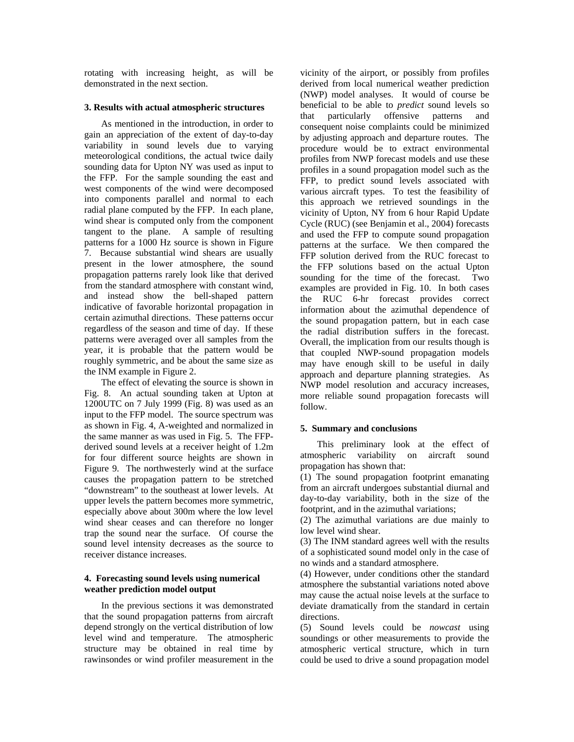rotating with increasing height, as will be demonstrated in the next section.

#### **3. Results with actual atmospheric structures**

As mentioned in the introduction, in order to gain an appreciation of the extent of day-to-day variability in sound levels due to varying meteorological conditions, the actual twice daily sounding data for Upton NY was used as input to the FFP. For the sample sounding the east and west components of the wind were decomposed into components parallel and normal to each radial plane computed by the FFP. In each plane, wind shear is computed only from the component tangent to the plane. A sample of resulting patterns for a 1000 Hz source is shown in Figure 7. Because substantial wind shears are usually present in the lower atmosphere, the sound propagation patterns rarely look like that derived from the standard atmosphere with constant wind, and instead show the bell-shaped pattern indicative of favorable horizontal propagation in certain azimuthal directions. These patterns occur regardless of the season and time of day. If these patterns were averaged over all samples from the year, it is probable that the pattern would be roughly symmetric, and be about the same size as the INM example in Figure 2.

The effect of elevating the source is shown in Fig. 8. An actual sounding taken at Upton at 1200UTC on 7 July 1999 (Fig. 8) was used as an input to the FFP model. The source spectrum was as shown in Fig. 4, A-weighted and normalized in the same manner as was used in Fig. 5. The FFPderived sound levels at a receiver height of 1.2m for four different source heights are shown in Figure 9. The northwesterly wind at the surface causes the propagation pattern to be stretched "downstream" to the southeast at lower levels. At upper levels the pattern becomes more symmetric, especially above about 300m where the low level wind shear ceases and can therefore no longer trap the sound near the surface. Of course the sound level intensity decreases as the source to receiver distance increases.

# **4. Forecasting sound levels using numerical weather prediction model output**

In the previous sections it was demonstrated that the sound propagation patterns from aircraft depend strongly on the vertical distribution of low level wind and temperature. The atmospheric structure may be obtained in real time by rawinsondes or wind profiler measurement in the

vicinity of the airport, or possibly from profiles derived from local numerical weather prediction (NWP) model analyses. It would of course be beneficial to be able to *predict* sound levels so that particularly offensive patterns and consequent noise complaints could be minimized by adjusting approach and departure routes. The procedure would be to extract environmental profiles from NWP forecast models and use these profiles in a sound propagation model such as the FFP, to predict sound levels associated with various aircraft types. To test the feasibility of this approach we retrieved soundings in the vicinity of Upton, NY from 6 hour Rapid Update Cycle (RUC) (see Benjamin et al., 2004) forecasts and used the FFP to compute sound propagation patterns at the surface. We then compared the FFP solution derived from the RUC forecast to the FFP solutions based on the actual Upton sounding for the time of the forecast. Two examples are provided in Fig. 10. In both cases the RUC 6-hr forecast provides correct information about the azimuthal dependence of the sound propagation pattern, but in each case the radial distribution suffers in the forecast. Overall, the implication from our results though is that coupled NWP-sound propagation models may have enough skill to be useful in daily approach and departure planning strategies. As NWP model resolution and accuracy increases, more reliable sound propagation forecasts will follow.

# **5. Summary and conclusions**

This preliminary look at the effect of atmospheric variability on aircraft sound propagation has shown that:

(1) The sound propagation footprint emanating from an aircraft undergoes substantial diurnal and day-to-day variability, both in the size of the footprint, and in the azimuthal variations;

(2) The azimuthal variations are due mainly to low level wind shear.

(3) The INM standard agrees well with the results of a sophisticated sound model only in the case of no winds and a standard atmosphere.

(4) However, under conditions other the standard atmosphere the substantial variations noted above may cause the actual noise levels at the surface to deviate dramatically from the standard in certain directions.

(5) Sound levels could be *nowcast* using soundings or other measurements to provide the atmospheric vertical structure, which in turn could be used to drive a sound propagation model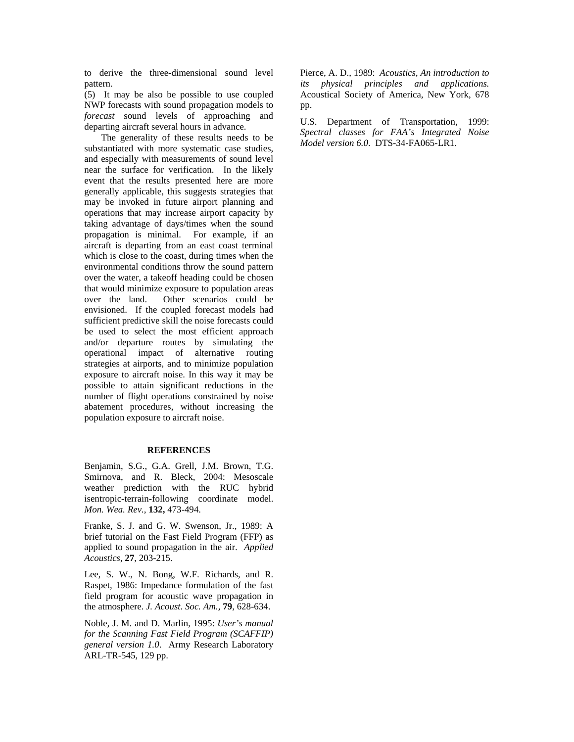to derive the three-dimensional sound level pattern.

(5) It may be also be possible to use coupled NWP forecasts with sound propagation models to *forecast* sound levels of approaching and departing aircraft several hours in advance.

The generality of these results needs to be substantiated with more systematic case studies, and especially with measurements of sound level near the surface for verification. In the likely event that the results presented here are more generally applicable, this suggests strategies that may be invoked in future airport planning and operations that may increase airport capacity by taking advantage of days/times when the sound propagation is minimal. For example, if an aircraft is departing from an east coast terminal which is close to the coast, during times when the environmental conditions throw the sound pattern over the water, a takeoff heading could be chosen that would minimize exposure to population areas over the land. Other scenarios could be envisioned. If the coupled forecast models had sufficient predictive skill the noise forecasts could be used to select the most efficient approach and/or departure routes by simulating the operational impact of alternative routing strategies at airports, and to minimize population exposure to aircraft noise. In this way it may be possible to attain significant reductions in the number of flight operations constrained by noise abatement procedures, without increasing the population exposure to aircraft noise.

# **REFERENCES**

Benjamin, S.G., G.A. Grell, J.M. Brown, T.G. Smirnova, and R. Bleck, 2004: Mesoscale weather prediction with the RUC hybrid isentropic-terrain-following coordinate model. *Mon. Wea. Rev.*, **132,** 473-494.

Franke, S. J. and G. W. Swenson, Jr., 1989: A brief tutorial on the Fast Field Program (FFP) as applied to sound propagation in the air. *Applied Acoustics*, **27**, 203-215.

Lee, S. W., N. Bong, W.F. Richards, and R. Raspet, 1986: Impedance formulation of the fast field program for acoustic wave propagation in the atmosphere. *J. Acoust. Soc. Am.,* **79**, 628-634.

Noble, J. M. and D. Marlin, 1995: *User's manual for the Scanning Fast Field Program (SCAFFIP) general version 1.0*. Army Research Laboratory ARL-TR-545, 129 pp.

Pierce, A. D., 1989: *Acoustics, An introduction to its physical principles and applications.* Acoustical Society of America, New York, 678 pp.

U.S. Department of Transportation, 1999: *Spectral classes for FAA's Integrated Noise Model version 6.0*. DTS-34-FA065-LR1.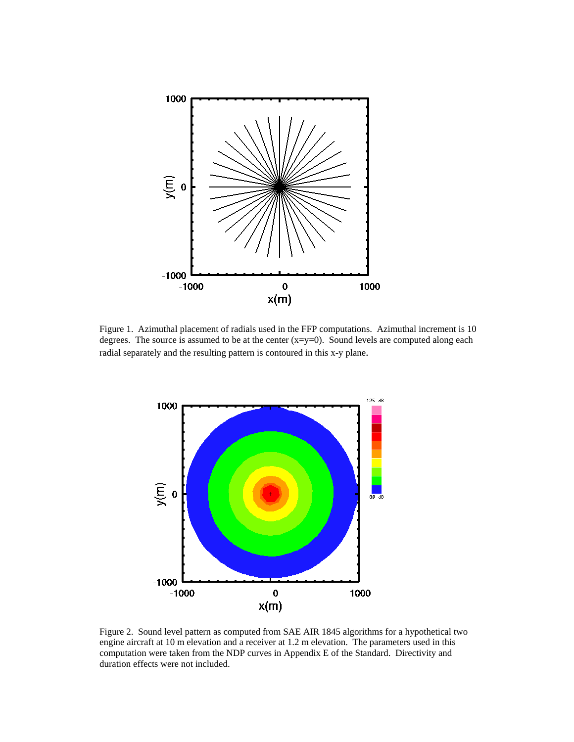

Figure 1. Azimuthal placement of radials used in the FFP computations. Azimuthal increment is 10 degrees. The source is assumed to be at the center  $(x=y=0)$ . Sound levels are computed along each radial separately and the resulting pattern is contoured in this x-y plane.



Figure 2. Sound level pattern as computed from SAE AIR 1845 algorithms for a hypothetical two engine aircraft at 10 m elevation and a receiver at 1.2 m elevation. The parameters used in this computation were taken from the NDP curves in Appendix E of the Standard. Directivity and duration effects were not included.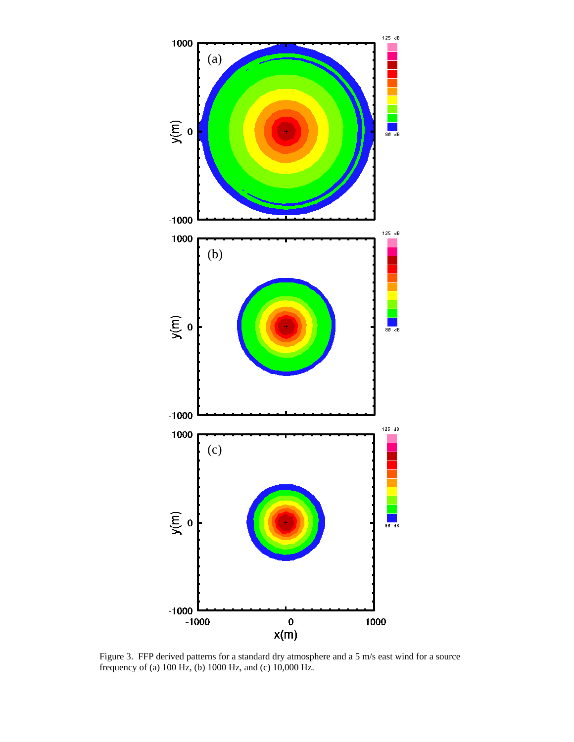

Figure 3. FFP derived patterns for a standard dry atmosphere and a 5 m/s east wind for a source frequency of (a) 100 Hz, (b) 1000 Hz, and (c) 10,000 Hz.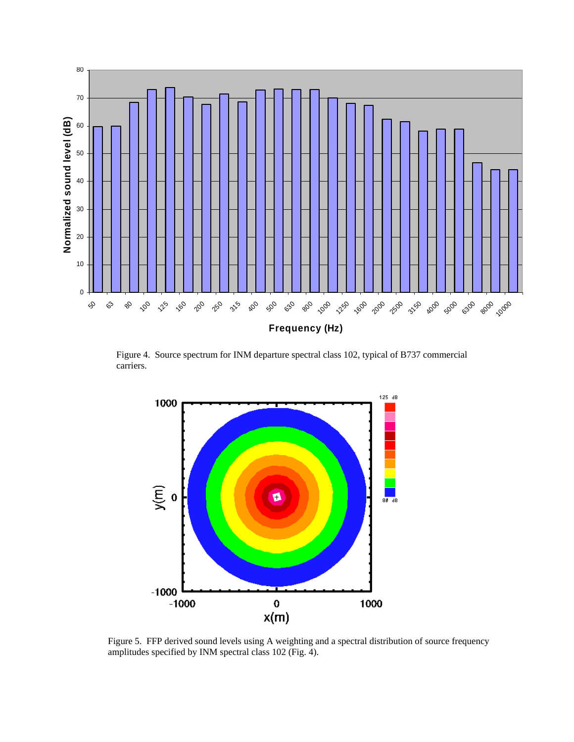

Figure 4. Source spectrum for INM departure spectral class 102, typical of B737 commercial carriers.



Figure 5. FFP derived sound levels using A weighting and a spectral distribution of source frequency amplitudes specified by INM spectral class 102 (Fig. 4).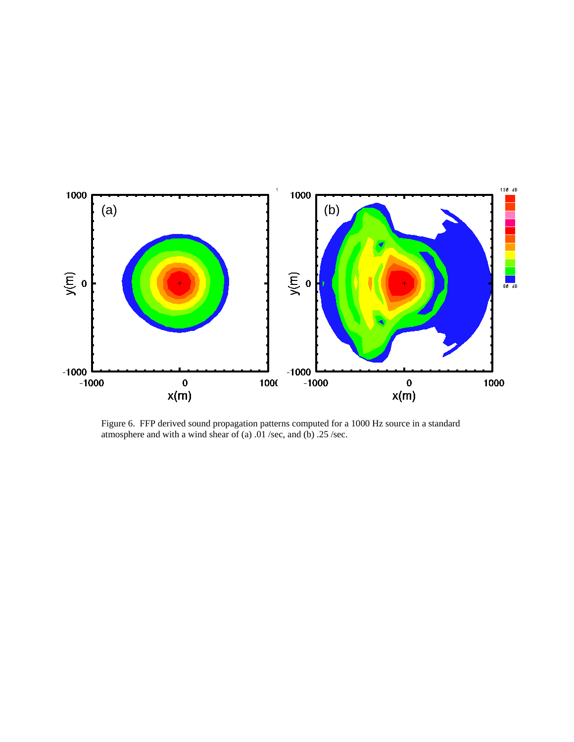

Figure 6. FFP derived sound propagation patterns computed for a 1000 Hz source in a standard atmosphere and with a wind shear of (a)  $.01$  /sec, and (b)  $.25$  /sec.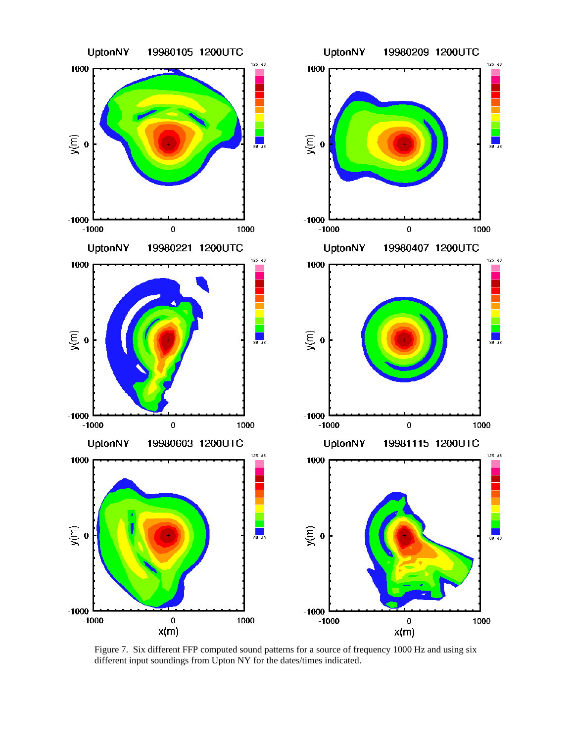

Figure 7. Six different FFP computed sound patterns for a source of frequency 1000 Hz and using six different input soundings from Upton NY for the dates/times indicated.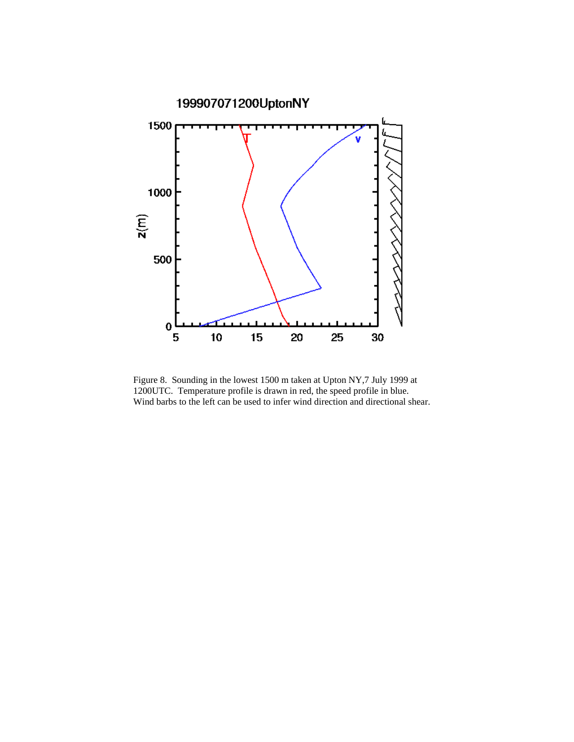

Figure 8. Sounding in the lowest 1500 m taken at Upton NY,7 July 1999 at 1200UTC. Temperature profile is drawn in red, the speed profile in blue. Wind barbs to the left can be used to infer wind direction and directional shear.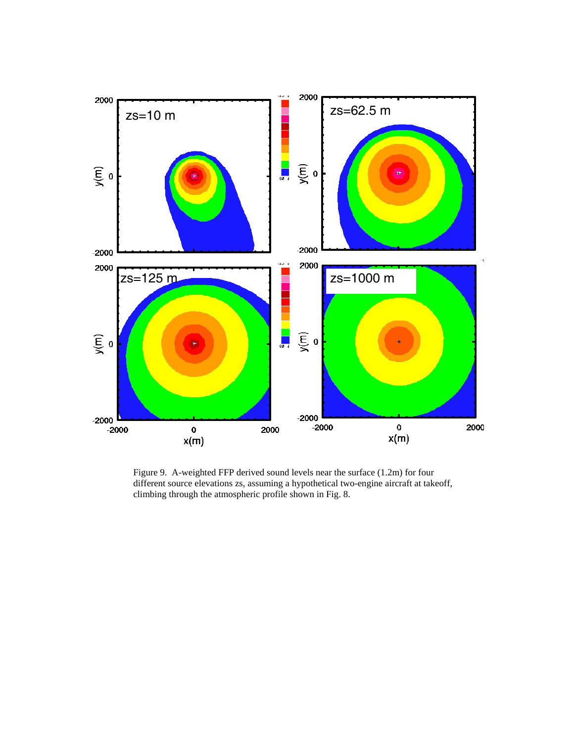

Figure 9. A-weighted FFP derived sound levels near the surface (1.2m) for four different source elevations zs, assuming a hypothetical two-engine aircraft at takeoff, climbing through the atmospheric profile shown in Fig. 8.